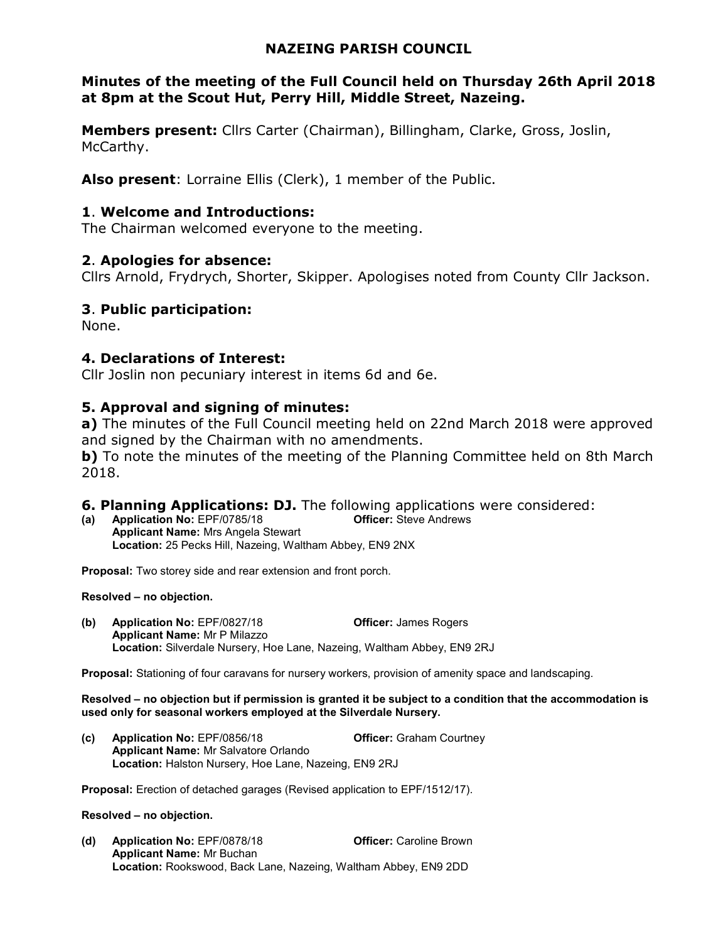## NAZEING PARISH COUNCIL

## Minutes of the meeting of the Full Council held on Thursday 26th April 2018 at 8pm at the Scout Hut, Perry Hill, Middle Street, Nazeing.

Members present: Cllrs Carter (Chairman), Billingham, Clarke, Gross, Joslin, McCarthy.

Also present: Lorraine Ellis (Clerk), 1 member of the Public.

### 1. Welcome and Introductions:

The Chairman welcomed everyone to the meeting.

## 2. Apologies for absence:

Cllrs Arnold, Frydrych, Shorter, Skipper. Apologises noted from County Cllr Jackson.

## 3. Public participation:

None.

## 4. Declarations of Interest:

Cllr Joslin non pecuniary interest in items 6d and 6e.

# 5. Approval and signing of minutes:

a) The minutes of the Full Council meeting held on 22nd March 2018 were approved and signed by the Chairman with no amendments.

**b**) To note the minutes of the meeting of the Planning Committee held on 8th March 2018.

## **6. Planning Applications: DJ.** The following applications were considered:

(a) Application No: EPF/0785/18 Officer: Steve Andrews Applicant Name: Mrs Angela Stewart Location: 25 Pecks Hill, Nazeing, Waltham Abbey, EN9 2NX

Proposal: Two storey side and rear extension and front porch.

#### Resolved – no objection.

(b) Application No: EPF/0827/18 Officer: James Rogers Applicant Name: Mr P Milazzo Location: Silverdale Nursery, Hoe Lane, Nazeing, Waltham Abbey, EN9 2RJ

Proposal: Stationing of four caravans for nursery workers, provision of amenity space and landscaping.

#### Resolved – no objection but if permission is granted it be subject to a condition that the accommodation is used only for seasonal workers employed at the Silverdale Nursery.

(c) Application No: EPF/0856/18 Officer: Graham Courtney Applicant Name: Mr Salvatore Orlando Location: Halston Nursery, Hoe Lane, Nazeing, EN9 2RJ

Proposal: Erection of detached garages (Revised application to EPF/1512/17).

#### Resolved – no objection.

(d) Application No: EPF/0878/18 Officer: Caroline Brown Applicant Name: Mr Buchan Location: Rookswood, Back Lane, Nazeing, Waltham Abbey, EN9 2DD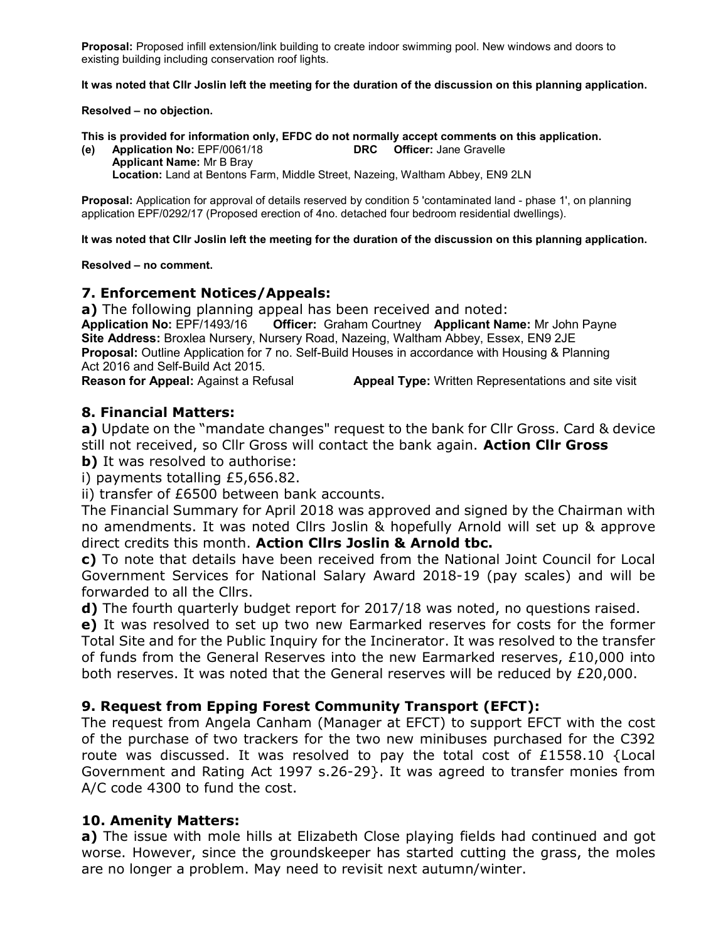Proposal: Proposed infill extension/link building to create indoor swimming pool. New windows and doors to existing building including conservation roof lights.

It was noted that Cllr Joslin left the meeting for the duration of the discussion on this planning application.

Resolved – no objection.

This is provided for information only, EFDC do not normally accept comments on this application.

(e) Application No: EPF/0061/18 DRC Officer: Jane Gravelle Applicant Name: Mr B Bray Location: Land at Bentons Farm, Middle Street, Nazeing, Waltham Abbey, EN9 2LN

Proposal: Application for approval of details reserved by condition 5 'contaminated land - phase 1', on planning application EPF/0292/17 (Proposed erection of 4no. detached four bedroom residential dwellings).

It was noted that Cllr Joslin left the meeting for the duration of the discussion on this planning application.

Resolved – no comment.

#### 7. Enforcement Notices/Appeals:

a) The following planning appeal has been received and noted: Application No: EPF/1493/16 Officer: Graham Courtney Applicant Name: Mr John Payne Site Address: Broxlea Nursery, Nursery Road, Nazeing, Waltham Abbey, Essex, EN9 2JE Proposal: Outline Application for 7 no. Self-Build Houses in accordance with Housing & Planning Act 2016 and Self-Build Act 2015.

Reason for Appeal: Against a Refusal **Appeal Type:** Written Representations and site visit

#### 8. Financial Matters:

a) Update on the "mandate changes" request to the bank for Cllr Gross. Card & device still not received, so Cllr Gross will contact the bank again. Action Cllr Gross

**b)** It was resolved to authorise:

i) payments totalling £5,656.82.

ii) transfer of £6500 between bank accounts.

The Financial Summary for April 2018 was approved and signed by the Chairman with no amendments. It was noted Cllrs Joslin & hopefully Arnold will set up & approve direct credits this month. Action Cllrs Joslin & Arnold tbc.

c) To note that details have been received from the National Joint Council for Local Government Services for National Salary Award 2018-19 (pay scales) and will be forwarded to all the Cllrs.

d) The fourth quarterly budget report for 2017/18 was noted, no questions raised.

e) It was resolved to set up two new Earmarked reserves for costs for the former Total Site and for the Public Inquiry for the Incinerator. It was resolved to the transfer of funds from the General Reserves into the new Earmarked reserves, £10,000 into both reserves. It was noted that the General reserves will be reduced by £20,000.

### 9. Request from Epping Forest Community Transport (EFCT):

The request from Angela Canham (Manager at EFCT) to support EFCT with the cost of the purchase of two trackers for the two new minibuses purchased for the C392 route was discussed. It was resolved to pay the total cost of £1558.10 {Local Government and Rating Act 1997 s.26-29}. It was agreed to transfer monies from A/C code 4300 to fund the cost.

### 10. Amenity Matters:

a) The issue with mole hills at Elizabeth Close playing fields had continued and got worse. However, since the groundskeeper has started cutting the grass, the moles are no longer a problem. May need to revisit next autumn/winter.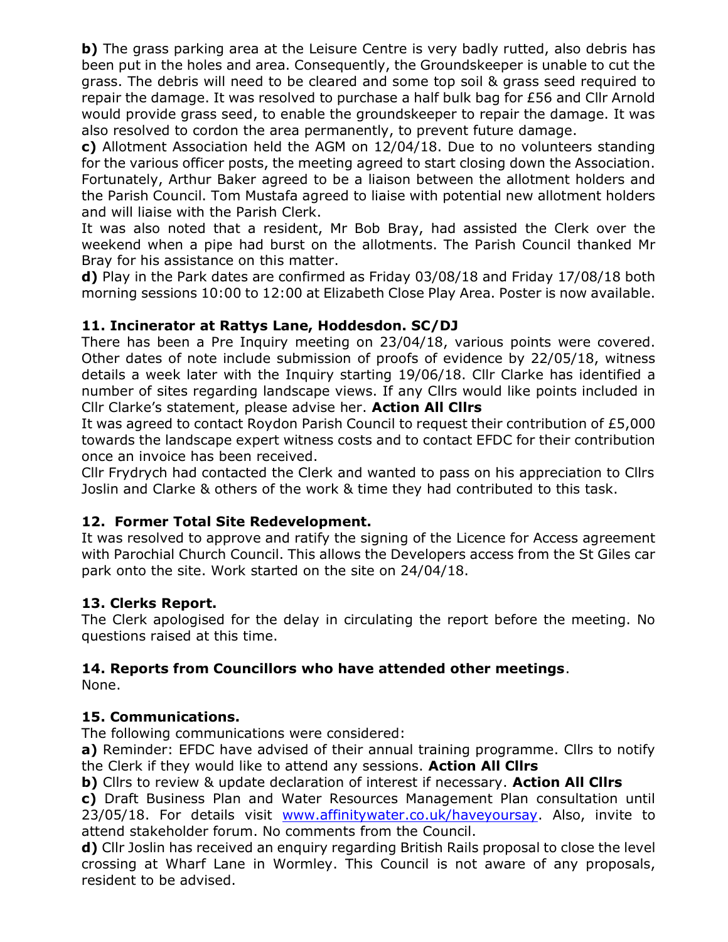b) The grass parking area at the Leisure Centre is very badly rutted, also debris has been put in the holes and area. Consequently, the Groundskeeper is unable to cut the grass. The debris will need to be cleared and some top soil & grass seed required to repair the damage. It was resolved to purchase a half bulk bag for £56 and Cllr Arnold would provide grass seed, to enable the groundskeeper to repair the damage. It was also resolved to cordon the area permanently, to prevent future damage.

c) Allotment Association held the AGM on 12/04/18. Due to no volunteers standing for the various officer posts, the meeting agreed to start closing down the Association. Fortunately, Arthur Baker agreed to be a liaison between the allotment holders and the Parish Council. Tom Mustafa agreed to liaise with potential new allotment holders and will liaise with the Parish Clerk.

It was also noted that a resident, Mr Bob Bray, had assisted the Clerk over the weekend when a pipe had burst on the allotments. The Parish Council thanked Mr Bray for his assistance on this matter.

d) Play in the Park dates are confirmed as Friday 03/08/18 and Friday 17/08/18 both morning sessions 10:00 to 12:00 at Elizabeth Close Play Area. Poster is now available.

# 11. Incinerator at Rattys Lane, Hoddesdon. SC/DJ

There has been a Pre Inquiry meeting on 23/04/18, various points were covered. Other dates of note include submission of proofs of evidence by 22/05/18, witness details a week later with the Inquiry starting 19/06/18. Cllr Clarke has identified a number of sites regarding landscape views. If any Cllrs would like points included in Cllr Clarke's statement, please advise her. Action All Cllrs

It was agreed to contact Roydon Parish Council to request their contribution of £5,000 towards the landscape expert witness costs and to contact EFDC for their contribution once an invoice has been received.

Cllr Frydrych had contacted the Clerk and wanted to pass on his appreciation to Cllrs Joslin and Clarke & others of the work & time they had contributed to this task.

## 12. Former Total Site Redevelopment.

It was resolved to approve and ratify the signing of the Licence for Access agreement with Parochial Church Council. This allows the Developers access from the St Giles car park onto the site. Work started on the site on 24/04/18.

## 13. Clerks Report.

The Clerk apologised for the delay in circulating the report before the meeting. No questions raised at this time.

# 14. Reports from Councillors who have attended other meetings.

None.

## 15. Communications.

The following communications were considered:

a) Reminder: EFDC have advised of their annual training programme. Cllrs to notify the Clerk if they would like to attend any sessions. Action All Cllrs

b) Cllrs to review & update declaration of interest if necessary. Action All Cllrs

c) Draft Business Plan and Water Resources Management Plan consultation until 23/05/18. For details visit www.affinitywater.co.uk/haveyoursay. Also, invite to attend stakeholder forum. No comments from the Council.

d) Cllr Joslin has received an enquiry regarding British Rails proposal to close the level crossing at Wharf Lane in Wormley. This Council is not aware of any proposals, resident to be advised.